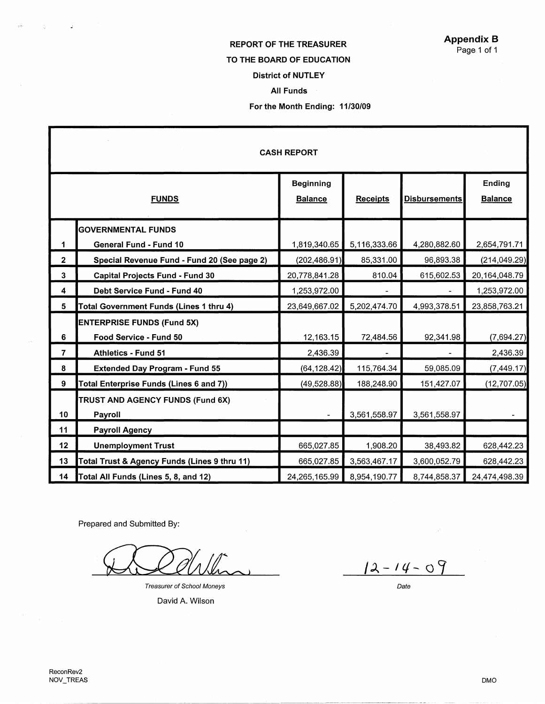## REPORT OF THE TREASURER

#### TO THE **BOARD** OF EDUCATION

### District of NUTLEY

#### All Funds

#### For the Month Ending: 11/30/09

| <b>CASH REPORT</b> |                                              |                                    |                 |                      |                          |  |  |  |
|--------------------|----------------------------------------------|------------------------------------|-----------------|----------------------|--------------------------|--|--|--|
| <b>FUNDS</b>       |                                              | <b>Beginning</b><br><b>Balance</b> | <b>Receipts</b> | <b>Disbursements</b> | Ending<br><b>Balance</b> |  |  |  |
|                    | <b>GOVERNMENTAL FUNDS</b>                    |                                    |                 |                      |                          |  |  |  |
| 1                  | <b>General Fund - Fund 10</b>                | 1,819,340.65                       | 5,116,333.66    | 4,280,882.60         | 2,654,791.71             |  |  |  |
| $\overline{2}$     | Special Revenue Fund - Fund 20 (See page 2)  | (202, 486.91)                      | 85,331.00       | 96,893.38            | (214, 049.29)            |  |  |  |
| $\mathbf{3}$       | <b>Capital Projects Fund - Fund 30</b>       | 20,778,841.28                      | 810.04          | 615,602.53           | 20,164,048.79            |  |  |  |
| 4                  | Debt Service Fund - Fund 40                  | 1,253,972.00                       |                 |                      | 1,253,972.00             |  |  |  |
| 5                  | Total Government Funds (Lines 1 thru 4)      | 23,649,667.02                      | 5,202,474.70    | 4,993,378.51         | 23,858,763.21            |  |  |  |
|                    | <b>ENTERPRISE FUNDS (Fund 5X)</b>            |                                    |                 |                      |                          |  |  |  |
| 6                  | Food Service - Fund 50                       | 12,163.15                          | 72,484.56       | 92,341.98            | (7,694.27)               |  |  |  |
| $\overline{7}$     | Athletics - Fund 51                          | 2,436.39                           |                 |                      | 2,436.39                 |  |  |  |
| 8                  | <b>Extended Day Program - Fund 55</b>        | (64, 128.42)                       | 115,764.34      | 59,085.09            | (7,449.17)               |  |  |  |
| 9                  | Total Enterprise Funds (Lines 6 and 7))      | (49, 528.88)                       | 188,248.90      | 151,427.07           | (12,707.05)              |  |  |  |
|                    | TRUST AND AGENCY FUNDS (Fund 6X)             |                                    |                 |                      |                          |  |  |  |
| 10                 | Payroll                                      |                                    | 3,561,558.97    | 3,561,558.97         |                          |  |  |  |
| 11                 | <b>Payroll Agency</b>                        |                                    |                 |                      |                          |  |  |  |
| 12                 | <b>Unemployment Trust</b>                    | 665,027.85                         | 1,908.20        | 38,493.82            | 628,442.23               |  |  |  |
| 13                 | Total Trust & Agency Funds (Lines 9 thru 11) | 665,027.85                         | 3,563,467.17    | 3,600,052.79         | 628,442.23               |  |  |  |
| 14                 | Total All Funds (Lines 5, 8, and 12)         | 24,265,165.99                      | 8,954,190.77    | 8,744,858.37         | 24,474,498.39            |  |  |  |

Prepared and Submitted By:

Treasurer of School Moneys

David A. Wilson

 $12 - 14 - 09$ 

Date

J.

÷,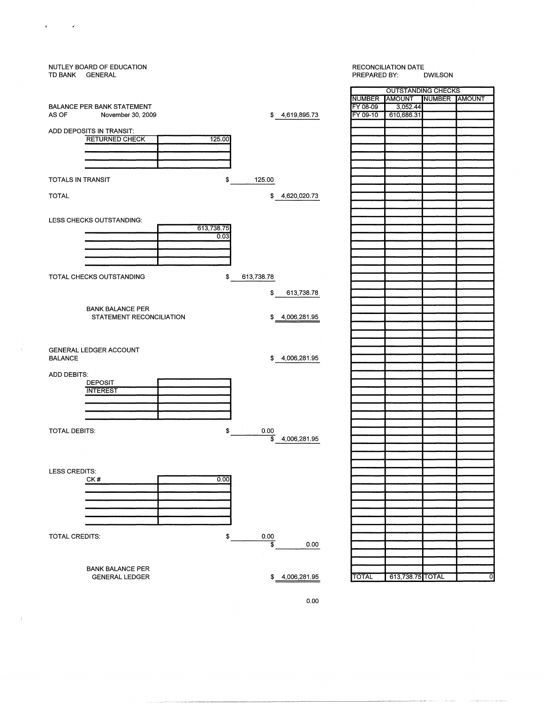| NUTLEY BOARD OF EDUCATION<br>TD BANK GENERAL |                    | <b>RECONCILIATION DATE</b><br>PREPARED BY:<br><b>DWILSON</b> |                           |               |  |
|----------------------------------------------|--------------------|--------------------------------------------------------------|---------------------------|---------------|--|
|                                              |                    |                                                              | <b>OUTSTANDING CHECKS</b> |               |  |
|                                              |                    | NUMBER AMOUNT                                                |                           | NUMBER AMOUNT |  |
| <b>BALANCE PER BANK STATEMENT</b>            |                    | FY 08-09                                                     | 3,052.44                  |               |  |
| AS OF<br>November 30, 2009                   | \$4,619,895.73     | FY 09-10                                                     | 610,686.31                |               |  |
| ADD DEPOSITS IN TRANSIT:                     |                    |                                                              |                           |               |  |
| <b>RETURNED CHECK</b><br>125.00              |                    |                                                              |                           |               |  |
|                                              |                    |                                                              |                           |               |  |
|                                              |                    |                                                              |                           |               |  |
|                                              |                    |                                                              |                           |               |  |
|                                              |                    |                                                              |                           |               |  |
| \$<br>TOTALS IN TRANSIT                      | 125.00             |                                                              |                           |               |  |
|                                              |                    |                                                              |                           |               |  |
| <b>TOTAL</b>                                 | \$<br>4,620,020.73 |                                                              |                           |               |  |
|                                              |                    |                                                              |                           |               |  |
| LESS CHECKS OUTSTANDING:                     |                    |                                                              |                           |               |  |
| 613,738.75                                   |                    |                                                              |                           |               |  |
| 0.03                                         |                    |                                                              |                           |               |  |
|                                              |                    |                                                              |                           |               |  |
|                                              |                    |                                                              |                           |               |  |
|                                              |                    |                                                              |                           |               |  |
|                                              |                    |                                                              |                           |               |  |
| TOTAL CHECKS OUTSTANDING<br>\$               | 613,738.78         |                                                              |                           |               |  |
|                                              | \$<br>613,738.78   |                                                              |                           |               |  |
|                                              |                    |                                                              |                           |               |  |
| <b>BANK BALANCE PER</b>                      |                    |                                                              |                           |               |  |
| STATEMENT RECONCILIATION                     | \$<br>4,006,281.95 |                                                              |                           |               |  |
|                                              |                    |                                                              |                           |               |  |
|                                              |                    |                                                              |                           |               |  |
|                                              |                    |                                                              |                           |               |  |
| <b>GENERAL LEDGER ACCOUNT</b>                |                    |                                                              |                           |               |  |
| <b>BALANCE</b>                               | \$4,006,281.95     |                                                              |                           |               |  |
|                                              |                    |                                                              |                           |               |  |
| ADD DEBITS:<br><b>DEPOSIT</b>                |                    |                                                              |                           |               |  |
| <b>INTEREST</b>                              |                    |                                                              |                           |               |  |
|                                              |                    |                                                              |                           |               |  |
|                                              |                    |                                                              |                           |               |  |
|                                              |                    |                                                              |                           |               |  |
|                                              |                    |                                                              |                           |               |  |
| TOTAL DEBITS:<br>\$                          | 0.00               |                                                              |                           |               |  |
|                                              | \$<br>4,006,281.95 |                                                              |                           |               |  |
|                                              |                    |                                                              |                           |               |  |
|                                              |                    |                                                              |                           |               |  |
| <b>LESS CREDITS:</b>                         |                    |                                                              |                           |               |  |
| 0.00<br>CK#                                  |                    |                                                              |                           |               |  |
|                                              |                    |                                                              |                           |               |  |
|                                              |                    |                                                              |                           |               |  |
|                                              |                    |                                                              |                           |               |  |
|                                              |                    |                                                              |                           |               |  |
|                                              |                    |                                                              |                           |               |  |
| <b>TOTAL CREDITS:</b><br>\$                  | $0.00\,$           |                                                              |                           |               |  |
|                                              | 3<br>0.00          |                                                              |                           |               |  |
|                                              |                    |                                                              |                           |               |  |
|                                              |                    |                                                              |                           |               |  |
| <b>BANK BALANCE PER</b>                      |                    |                                                              |                           |               |  |
| <b>GENERAL LEDGER</b>                        | \$4,006,281.95     | <b>TOTAL</b>                                                 | 613,738.75 TOTAL          |               |  |
|                                              |                    |                                                              |                           |               |  |

 $\epsilon$ 

 $\sim$  6

 $\sim$  1  $^{-1}$ 

 $\hat{\mathbf{r}}$ 

----·---~~-------------------------

0.00

0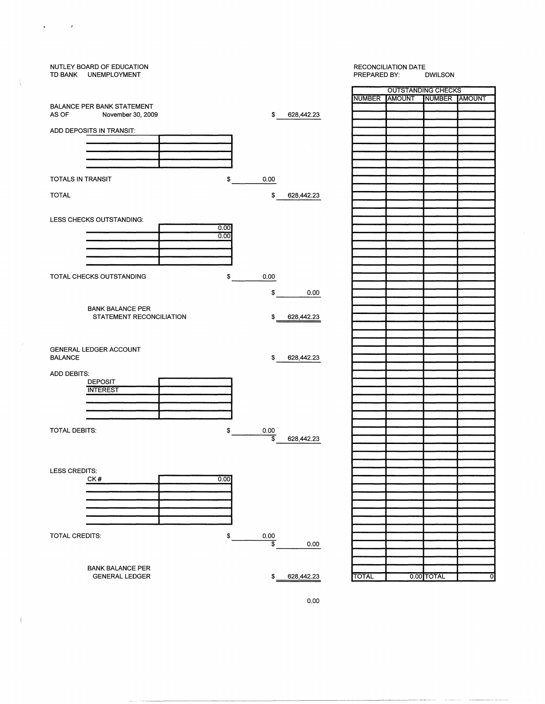# NUTLEY BOARD OF EDUCATION RECONCILIATION DATE TD BANK UNEMPLOYMENT OUTSTANDING CHECKS NUMBER AMOUNT NUMBER AMOUNT BALANCE PER BANK STATEMENT<br>AS OF November 30, 200 As November 30, 2009 **by Accord 20, 2009 \$ 628,442.23** ADD DEPOSITS IN TRANSIT: TOTALS IN TRANSIT 8 0.00 TOTAL \$ 628,442.23 LESS CHECKS OUTSTANDING:  $\frac{0.00}{0.00}$ TOTAL CHECKS OUTSTANDING \$ 0.00  $$ 0.00$ BANK BALANCE PER STATEMENT RECONCILIATION  $$628,442.23$ GENERAL LEDGER ACCOUNT  $$628,442.23$ ADD DEBITS: **DEPOSIT INTEREST** TOTAL DEBITS:  $\frac{1}{2}$  0.00 \$ 628,442.23 LESS CREDITS: CK#  $\overline{0.00}$  $\overline{\phantom{0}}$ TOTAL CREDITS:  $\frac{1}{2}$  0.00 0.00 BANK BALANCE PER GENERAL LEDGER \$ 628,442.23 TOTAL 0.00 TOTAL 0

 $\mathbf{s}^{\top}$ 

ţ

 $\left($ 

 $\mathcal{L}=\mathcal{F}$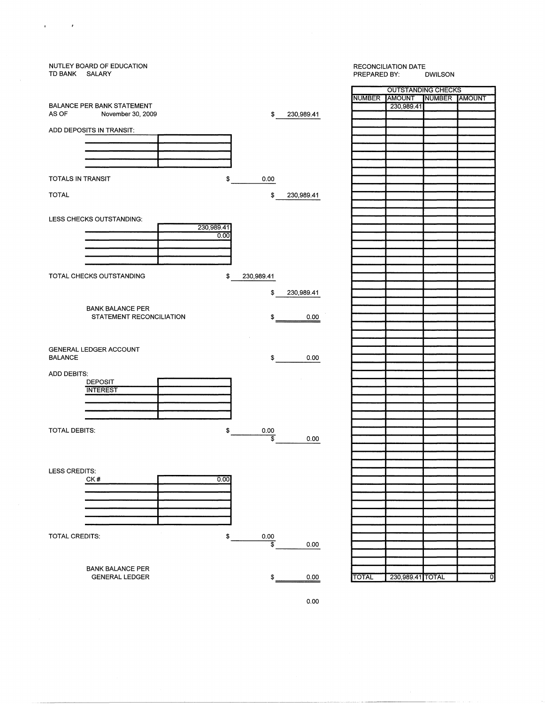| TD BANK SALARY        | NUTLEY BOARD OF EDUCATION         |            |                  |            |       | <b>RECONCILIATION DATE</b><br>PREPARED BY:<br><b>DWILSON</b> |               |  |
|-----------------------|-----------------------------------|------------|------------------|------------|-------|--------------------------------------------------------------|---------------|--|
|                       |                                   |            |                  |            |       | <b>OUTSTANDING CHECK</b>                                     |               |  |
|                       |                                   |            |                  |            |       | NUMBER AMOUNT                                                | <b>NUMBER</b> |  |
|                       | <b>BALANCE PER BANK STATEMENT</b> |            |                  |            |       | 230,989.41                                                   |               |  |
| AS OF                 | November 30, 2009                 |            | \$               | 230,989.41 |       |                                                              |               |  |
|                       |                                   |            |                  |            |       |                                                              |               |  |
|                       | ADD DEPOSITS IN TRANSIT:          |            |                  |            |       |                                                              |               |  |
|                       |                                   |            |                  |            |       |                                                              |               |  |
|                       |                                   |            |                  |            |       |                                                              |               |  |
|                       |                                   |            |                  |            |       |                                                              |               |  |
|                       |                                   |            |                  |            |       |                                                              |               |  |
| TOTALS IN TRANSIT     |                                   | \$         | 0.00             |            |       |                                                              |               |  |
|                       |                                   |            |                  |            |       |                                                              |               |  |
| <b>TOTAL</b>          |                                   |            | \$               | 230,989.41 |       |                                                              |               |  |
|                       |                                   |            |                  |            |       |                                                              |               |  |
|                       | LESS CHECKS OUTSTANDING:          |            |                  |            |       |                                                              |               |  |
|                       |                                   | 230,989.41 |                  |            |       |                                                              |               |  |
|                       |                                   | 0.00       |                  |            |       |                                                              |               |  |
|                       |                                   |            |                  |            |       |                                                              |               |  |
|                       |                                   |            |                  |            |       |                                                              |               |  |
|                       |                                   |            |                  |            |       |                                                              |               |  |
|                       |                                   |            |                  |            |       |                                                              |               |  |
|                       | TOTAL CHECKS OUTSTANDING          | \$         | 230,989.41       |            |       |                                                              |               |  |
|                       |                                   |            |                  |            |       |                                                              |               |  |
|                       |                                   |            | \$               | 230,989.41 |       |                                                              |               |  |
|                       | <b>BANK BALANCE PER</b>           |            |                  |            |       |                                                              |               |  |
|                       | STATEMENT RECONCILIATION          |            | \$               | 0.00       |       |                                                              |               |  |
|                       |                                   |            |                  |            |       |                                                              |               |  |
|                       |                                   |            |                  |            |       |                                                              |               |  |
|                       |                                   |            |                  |            |       |                                                              |               |  |
|                       | GENERAL LEDGER ACCOUNT            |            |                  |            |       |                                                              |               |  |
| <b>BALANCE</b>        |                                   |            | \$               | 0.00       |       |                                                              |               |  |
|                       |                                   |            |                  |            |       |                                                              |               |  |
| ADD DEBITS:           |                                   |            |                  |            |       |                                                              |               |  |
|                       | <b>DEPOSIT</b><br><b>INTEREST</b> |            |                  |            |       |                                                              |               |  |
|                       |                                   |            |                  |            |       |                                                              |               |  |
|                       |                                   |            |                  |            |       |                                                              |               |  |
|                       |                                   |            |                  |            |       |                                                              |               |  |
|                       |                                   |            |                  |            |       |                                                              |               |  |
| <b>TOTAL DEBITS:</b>  |                                   | \$         | 0.00             |            |       |                                                              |               |  |
|                       |                                   |            | \$               | 0.00       |       |                                                              |               |  |
|                       |                                   |            |                  |            |       |                                                              |               |  |
|                       |                                   |            |                  |            |       |                                                              |               |  |
| LESS CREDITS:         |                                   |            |                  |            |       |                                                              |               |  |
|                       | CK#                               | 0.00       |                  |            |       |                                                              |               |  |
|                       |                                   |            |                  |            |       |                                                              |               |  |
|                       |                                   |            |                  |            |       |                                                              |               |  |
|                       |                                   |            |                  |            |       |                                                              |               |  |
|                       |                                   |            |                  |            |       |                                                              |               |  |
|                       |                                   |            |                  |            |       |                                                              |               |  |
|                       |                                   |            |                  |            |       |                                                              |               |  |
| <b>TOTAL CREDITS:</b> |                                   | \$         | 0.00<br>\$       |            |       |                                                              |               |  |
|                       |                                   |            |                  | 0.00       |       |                                                              |               |  |
|                       |                                   |            |                  |            |       |                                                              |               |  |
|                       | <b>BANK BALANCE PER</b>           |            |                  |            |       |                                                              |               |  |
|                       | <b>GENERAL LEDGER</b>             |            | $\ddot{\bullet}$ | 0.00       | TOTAL | 230,989.41 TOTAL                                             |               |  |
|                       |                                   |            |                  |            |       |                                                              |               |  |

 $\label{eq:2.1} \begin{array}{cccccccccc} \mathfrak{a} & \cdots & \cdots & \mathfrak{b} & \cdots \end{array}$ 

OUTSTANDING CHECKS NUMBER |AMOUNT |NUMBER |AMOUNT 230,989.41 **TOTAL** 230,989.41 TOTAL 0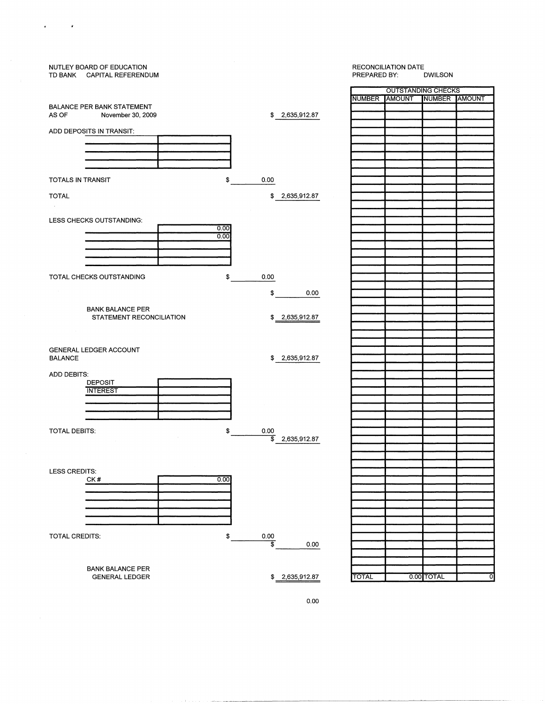# NUTLEY BOARD OF EDUCATION RECONCILIATION DATE<br>PREPARED BY: DWILSON TD BANK CAPITAL REFERENDUM PREPARED BY: OUTSTANDING CHECKS NUMBER AMOUNT NUMBER AMOUNT BALANCE PER BANK STATEMENT<br>AS OF November 30, 200 \$ 2,635,912.87 November 30, 2009 ADD DEPOSITS **IN** TRANSIT: TOTALS IN TRANSIT  $\ddot{\bullet}$ 0.00 TOTAL \$ 2,635,912.87 LESS CHECKS OUTSTANDING:  $\frac{0.00}{0.00}$ TOTAL CHECKS OUTSTANDING \$ 0.00 \$ 0.00 BANK BALANCE PER STATEMENT RECONCILIATION \$ 2,635,912.87 GENERAL LEDGER ACCOUNT BALANCE \$ 2,635,912.87 ADD DEBITS: DEPOSIT **INTEREST** TOTAL DEBITS:  $\Omega$ 0.00  $\overline{\$}$  2,635,912.87 LESS CREDITS: CK#  $0.00$  $\overline{\phantom{0}}$ TOTAL CREDITS: \$  $rac{0.00}{\$}$ 0.00 BANK BALANCE PER \$ 2,635,912.87 TOTAL 0.00 TOTAL GENERAL LEDGER

 $\mathcal{L}^{\mathcal{L}}$ 

 $\overline{a}$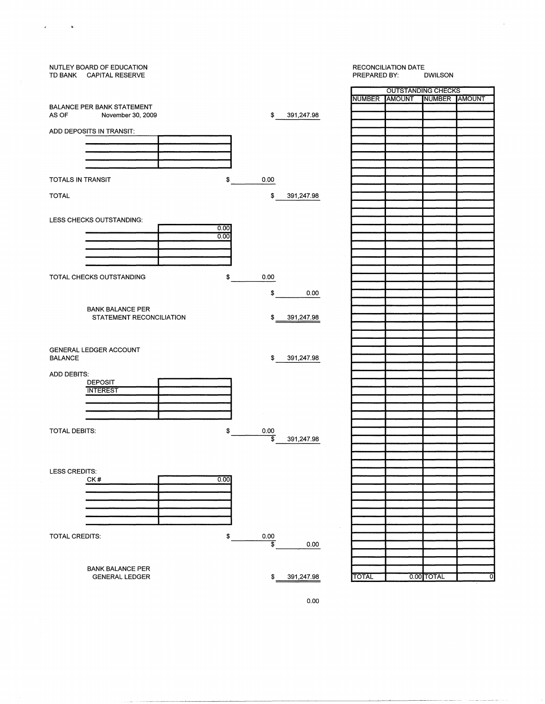

 $\epsilon$ 

 $\hat{\mathbf{a}}$